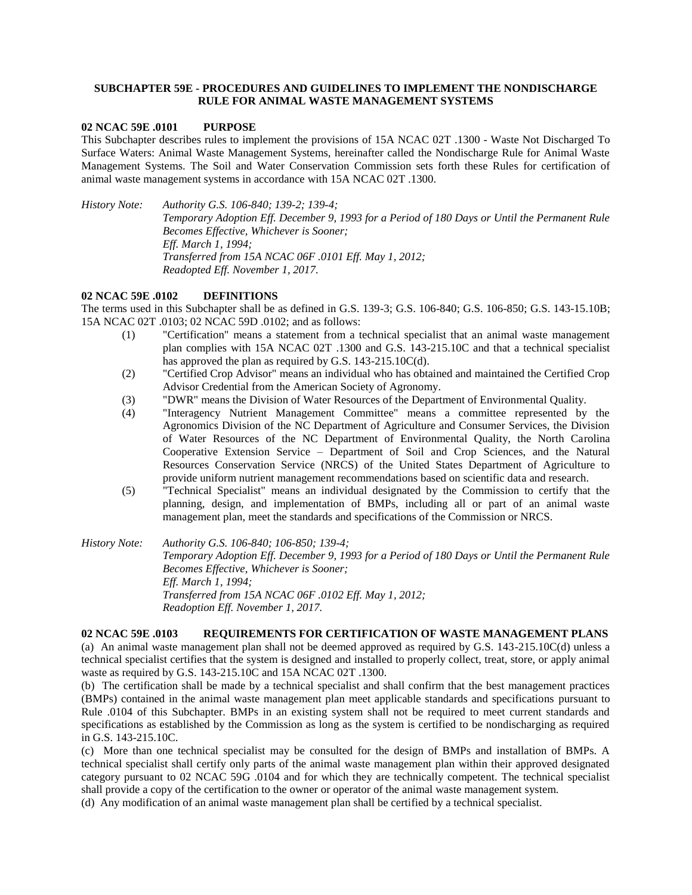## **SUBCHAPTER 59E - PROCEDURES AND GUIDELINES TO IMPLEMENT THE NONDISCHARGE RULE FOR ANIMAL WASTE MANAGEMENT SYSTEMS**

#### **02 NCAC 59E .0101 PURPOSE**

This Subchapter describes rules to implement the provisions of 15A NCAC 02T .1300 - Waste Not Discharged To Surface Waters: Animal Waste Management Systems, hereinafter called the Nondischarge Rule for Animal Waste Management Systems. The Soil and Water Conservation Commission sets forth these Rules for certification of animal waste management systems in accordance with 15A NCAC 02T .1300.

*History Note: Authority G.S. 106-840; 139-2; 139-4; Temporary Adoption Eff. December 9, 1993 for a Period of 180 Days or Until the Permanent Rule Becomes Effective, Whichever is Sooner; Eff. March 1, 1994; Transferred from 15A NCAC 06F .0101 Eff. May 1, 2012; Readopted Eff. November 1, 2017.*

### **02 NCAC 59E .0102 DEFINITIONS**

The terms used in this Subchapter shall be as defined in G.S. 139-3; G.S. 106-840; G.S. 106-850; G.S. 143-15.10B; 15A NCAC 02T .0103; 02 NCAC 59D .0102; and as follows:

- (1) "Certification" means a statement from a technical specialist that an animal waste management plan complies with 15A NCAC 02T .1300 and G.S. 143-215.10C and that a technical specialist has approved the plan as required by G.S. 143-215.10C(d).
- (2) "Certified Crop Advisor" means an individual who has obtained and maintained the Certified Crop Advisor Credential from the American Society of Agronomy.
- (3) "DWR" means the Division of Water Resources of the Department of Environmental Quality.
- (4) "Interagency Nutrient Management Committee" means a committee represented by the Agronomics Division of the NC Department of Agriculture and Consumer Services, the Division of Water Resources of the NC Department of Environmental Quality, the North Carolina Cooperative Extension Service – Department of Soil and Crop Sciences, and the Natural Resources Conservation Service (NRCS) of the United States Department of Agriculture to provide uniform nutrient management recommendations based on scientific data and research.
- (5) "Technical Specialist" means an individual designated by the Commission to certify that the planning, design, and implementation of BMPs, including all or part of an animal waste management plan, meet the standards and specifications of the Commission or NRCS.

## *History Note: Authority G.S. 106-840; 106-850; 139-4; Temporary Adoption Eff. December 9, 1993 for a Period of 180 Days or Until the Permanent Rule Becomes Effective, Whichever is Sooner; Eff. March 1, 1994; Transferred from 15A NCAC 06F .0102 Eff. May 1, 2012; Readoption Eff. November 1, 2017.*

# **02 NCAC 59E .0103 REQUIREMENTS FOR CERTIFICATION OF WASTE MANAGEMENT PLANS** (a) An animal waste management plan shall not be deemed approved as required by G.S. 143-215.10C(d) unless a technical specialist certifies that the system is designed and installed to properly collect, treat, store, or apply animal

waste as required by G.S. 143-215.10C and 15A NCAC 02T .1300. (b) The certification shall be made by a technical specialist and shall confirm that the best management practices (BMPs) contained in the animal waste management plan meet applicable standards and specifications pursuant to Rule .0104 of this Subchapter. BMPs in an existing system shall not be required to meet current standards and specifications as established by the Commission as long as the system is certified to be nondischarging as required in G.S. 143-215.10C.

(c) More than one technical specialist may be consulted for the design of BMPs and installation of BMPs. A technical specialist shall certify only parts of the animal waste management plan within their approved designated category pursuant to 02 NCAC 59G .0104 and for which they are technically competent. The technical specialist shall provide a copy of the certification to the owner or operator of the animal waste management system.

(d) Any modification of an animal waste management plan shall be certified by a technical specialist.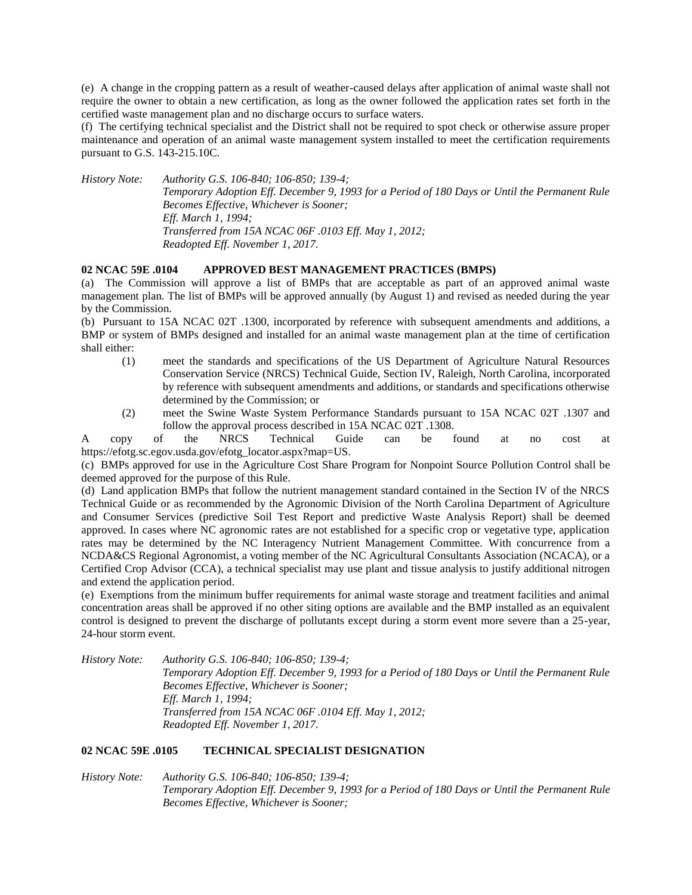(e) A change in the cropping pattern as a result of weather-caused delays after application of animal waste shall not require the owner to obtain a new certification, as long as the owner followed the application rates set forth in the certified waste management plan and no discharge occurs to surface waters.

(f) The certifying technical specialist and the District shall not be required to spot check or otherwise assure proper maintenance and operation of an animal waste management system installed to meet the certification requirements pursuant to G.S. 143-215.10C.

*History Note: Authority G.S. 106-840; 106-850; 139-4; Temporary Adoption Eff. December 9, 1993 for a Period of 180 Days or Until the Permanent Rule Becomes Effective, Whichever is Sooner; Eff. March 1, 1994; Transferred from 15A NCAC 06F .0103 Eff. May 1, 2012; Readopted Eff. November 1, 2017.*

### **02 NCAC 59E .0104 APPROVED BEST MANAGEMENT PRACTICES (BMPS)**

(a) The Commission will approve a list of BMPs that are acceptable as part of an approved animal waste management plan. The list of BMPs will be approved annually (by August 1) and revised as needed during the year by the Commission.

(b) Pursuant to 15A NCAC 02T .1300, incorporated by reference with subsequent amendments and additions, a BMP or system of BMPs designed and installed for an animal waste management plan at the time of certification shall either:

- (1) meet the standards and specifications of the US Department of Agriculture Natural Resources Conservation Service (NRCS) Technical Guide, Section IV, Raleigh, North Carolina, incorporated by reference with subsequent amendments and additions, or standards and specifications otherwise determined by the Commission; or
- (2) meet the Swine Waste System Performance Standards pursuant to 15A NCAC 02T .1307 and follow the approval process described in 15A NCAC 02T .1308.

A copy of the NRCS Technical Guide can be found at no cost at https://efotg.sc.egov.usda.gov/efotg\_locator.aspx?map=US.

(c) BMPs approved for use in the Agriculture Cost Share Program for Nonpoint Source Pollution Control shall be deemed approved for the purpose of this Rule.

(d) Land application BMPs that follow the nutrient management standard contained in the Section IV of the NRCS Technical Guide or as recommended by the Agronomic Division of the North Carolina Department of Agriculture and Consumer Services (predictive Soil Test Report and predictive Waste Analysis Report) shall be deemed approved. In cases where NC agronomic rates are not established for a specific crop or vegetative type, application rates may be determined by the NC Interagency Nutrient Management Committee. With concurrence from a NCDA&CS Regional Agronomist, a voting member of the NC Agricultural Consultants Association (NCACA), or a Certified Crop Advisor (CCA), a technical specialist may use plant and tissue analysis to justify additional nitrogen and extend the application period.

(e) Exemptions from the minimum buffer requirements for animal waste storage and treatment facilities and animal concentration areas shall be approved if no other siting options are available and the BMP installed as an equivalent control is designed to prevent the discharge of pollutants except during a storm event more severe than a 25-year, 24-hour storm event.

*History Note: Authority G.S. 106-840; 106-850; 139-4; Temporary Adoption Eff. December 9, 1993 for a Period of 180 Days or Until the Permanent Rule Becomes Effective, Whichever is Sooner; Eff. March 1, 1994; Transferred from 15A NCAC 06F .0104 Eff. May 1, 2012; Readopted Eff. November 1, 2017.*

## **02 NCAC 59E .0105 TECHNICAL SPECIALIST DESIGNATION**

*History Note: Authority G.S. 106-840; 106-850; 139-4; Temporary Adoption Eff. December 9, 1993 for a Period of 180 Days or Until the Permanent Rule Becomes Effective, Whichever is Sooner;*